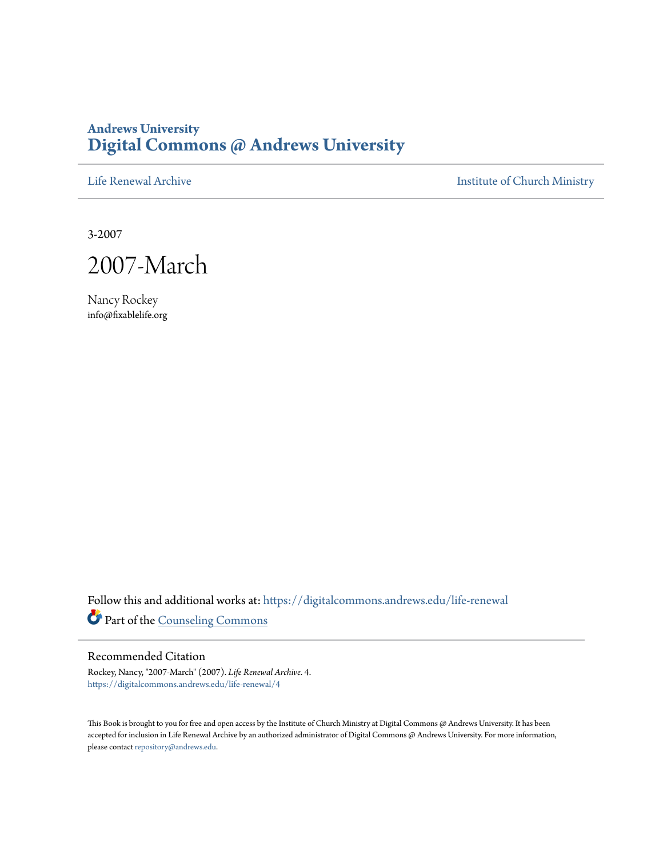# **Andrews University [Digital Commons @ Andrews University](https://digitalcommons.andrews.edu/?utm_source=digitalcommons.andrews.edu%2Flife-renewal%2F4&utm_medium=PDF&utm_campaign=PDFCoverPages)**

[Life Renewal Archive](https://digitalcommons.andrews.edu/life-renewal?utm_source=digitalcommons.andrews.edu%2Flife-renewal%2F4&utm_medium=PDF&utm_campaign=PDFCoverPages) **[Institute of Church Ministry](https://digitalcommons.andrews.edu/icm?utm_source=digitalcommons.andrews.edu%2Flife-renewal%2F4&utm_medium=PDF&utm_campaign=PDFCoverPages)** 

3-2007

2007-March

Nancy Rockey info@fixablelife.org

Follow this and additional works at: [https://digitalcommons.andrews.edu/life-renewal](https://digitalcommons.andrews.edu/life-renewal?utm_source=digitalcommons.andrews.edu%2Flife-renewal%2F4&utm_medium=PDF&utm_campaign=PDFCoverPages) Part of the [Counseling Commons](http://network.bepress.com/hgg/discipline/1268?utm_source=digitalcommons.andrews.edu%2Flife-renewal%2F4&utm_medium=PDF&utm_campaign=PDFCoverPages)

#### Recommended Citation

Rockey, Nancy, "2007-March" (2007). *Life Renewal Archive*. 4. [https://digitalcommons.andrews.edu/life-renewal/4](https://digitalcommons.andrews.edu/life-renewal/4?utm_source=digitalcommons.andrews.edu%2Flife-renewal%2F4&utm_medium=PDF&utm_campaign=PDFCoverPages)

This Book is brought to you for free and open access by the Institute of Church Ministry at Digital Commons @ Andrews University. It has been accepted for inclusion in Life Renewal Archive by an authorized administrator of Digital Commons @ Andrews University. For more information, please contact [repository@andrews.edu.](mailto:repository@andrews.edu)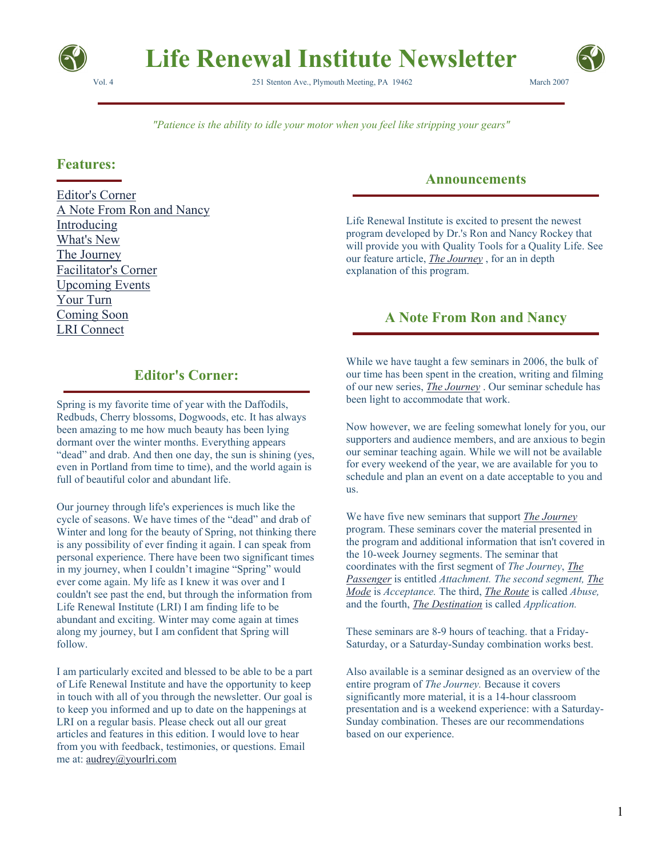

# **Life Renewal Institute Newsletter**

Vol. 4 251 Stenton Ave., Plymouth Meeting, PA 19462 March 2007



*"Patience is the ability to idle your motor when you feel like stripping your gears"*

#### **Features:**

Editor's Corner A Note From Ron and Nancy Introducing What's New The Journey Facilitator's Corner Upcoming Events Your Turn Coming Soon LRI Connect

# **Announcements**

Life Renewal Institute is excited to present the newest program developed by Dr.'s Ron and Nancy Rockey that will provide you with Quality Tools for a Quality Life. See our feature article, *The Journey* , for an in depth explanation of this program.

# **A Note From Ron and Nancy**

# **Editor's Corner:**

Spring is my favorite time of year with the Daffodils, Redbuds, Cherry blossoms, Dogwoods, etc. It has always been amazing to me how much beauty has been lying dormant over the winter months. Everything appears "dead" and drab. And then one day, the sun is shining (yes, even in Portland from time to time), and the world again is full of beautiful color and abundant life.

Our journey through life's experiences is much like the cycle of seasons. We have times of the "dead" and drab of Winter and long for the beauty of Spring, not thinking there is any possibility of ever finding it again. I can speak from personal experience. There have been two significant times in my journey, when I couldn't imagine "Spring" would ever come again. My life as I knew it was over and I couldn't see past the end, but through the information from Life Renewal Institute (LRI) I am finding life to be abundant and exciting. Winter may come again at times along my journey, but I am confident that Spring will follow.

I am particularly excited and blessed to be able to be a part of Life Renewal Institute and have the opportunity to keep in touch with all of you through the newsletter. Our goal is to keep you informed and up to date on the happenings at LRI on a regular basis. Please check out all our great articles and features in this edition. I would love to hear from you with feedback, testimonies, or questions. Email me at: audrey@yourlri.com

While we have taught a few seminars in 2006, the bulk of our time has been spent in the creation, writing and filming of our new series, *The Journey* . Our seminar schedule has been light to accommodate that work.

Now however, we are feeling somewhat lonely for you, our supporters and audience members, and are anxious to begin our seminar teaching again. While we will not be available for every weekend of the year, we are available for you to schedule and plan an event on a date acceptable to you and us.

We have five new seminars that support *The Journey* program. These seminars cover the material presented in the program and additional information that isn't covered in the 10-week Journey segments. The seminar that coordinates with the first segment of *The Journey*, *The Passenger* is entitled *Attachment. The second segment, The Mode* is *Acceptance.* The third, *The Route* is called *Abuse,*  and the fourth, *The Destination* is called *Application.*

These seminars are 8-9 hours of teaching. that a Friday-Saturday, or a Saturday-Sunday combination works best.

Also available is a seminar designed as an overview of the entire program of *The Journey.* Because it covers significantly more material, it is a 14-hour classroom presentation and is a weekend experience: with a Saturday-Sunday combination. Theses are our recommendations based on our experience.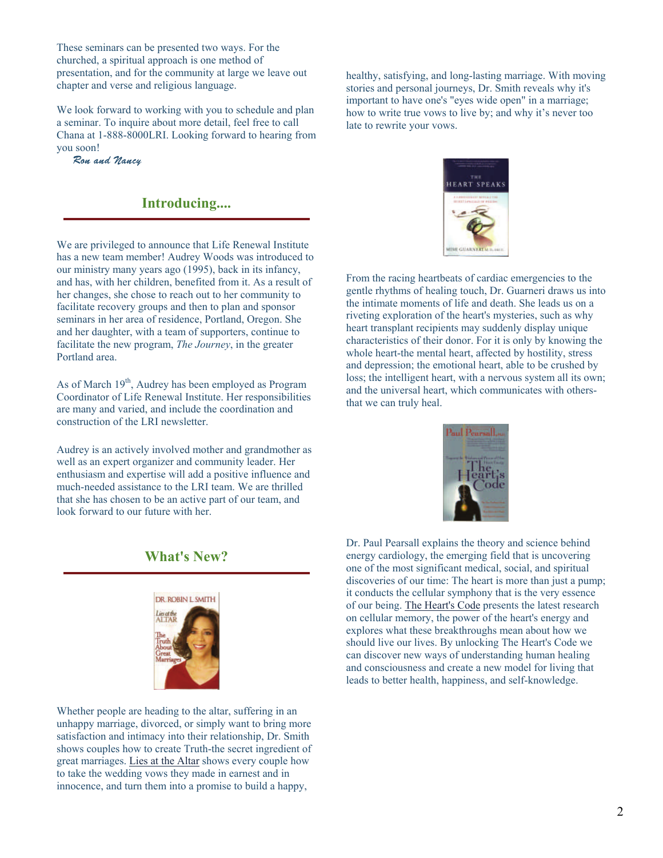These seminars can be presented two ways. For the churched, a spiritual approach is one method of presentation, and for the community at large we leave out chapter and verse and religious language.

We look forward to working with you to schedule and plan a seminar. To inquire about more detail, feel free to call Chana at 1-888-8000LRI. Looking forward to hearing from you soon!

Ron and Nancy

### **Introducing....**

We are privileged to announce that Life Renewal Institute has a new team member! Audrey Woods was introduced to our ministry many years ago (1995), back in its infancy, and has, with her children, benefited from it. As a result of her changes, she chose to reach out to her community to facilitate recovery groups and then to plan and sponsor seminars in her area of residence, Portland, Oregon. She and her daughter, with a team of supporters, continue to facilitate the new program, *The Journey*, in the greater Portland area.

As of March 19<sup>th</sup>, Audrey has been employed as Program Coordinator of Life Renewal Institute. Her responsibilities are many and varied, and include the coordination and construction of the LRI newsletter.

Audrey is an actively involved mother and grandmother as well as an expert organizer and community leader. Her enthusiasm and expertise will add a positive influence and much-needed assistance to the LRI team. We are thrilled that she has chosen to be an active part of our team, and look forward to our future with her.

**What's New?** 



Whether people are heading to the altar, suffering in an unhappy marriage, divorced, or simply want to bring more satisfaction and intimacy into their relationship, Dr. Smith shows couples how to create Truth-the secret ingredient of great marriages. Lies at the Altar shows every couple how to take the wedding vows they made in earnest and in innocence, and turn them into a promise to build a happy,

healthy, satisfying, and long-lasting marriage. With moving stories and personal journeys, Dr. Smith reveals why it's important to have one's "eyes wide open" in a marriage; how to write true vows to live by; and why it's never too late to rewrite your vows.



From the racing heartbeats of cardiac emergencies to the gentle rhythms of healing touch, Dr. Guarneri draws us into the intimate moments of life and death. She leads us on a riveting exploration of the heart's mysteries, such as why heart transplant recipients may suddenly display unique characteristics of their donor. For it is only by knowing the whole heart-the mental heart, affected by hostility, stress and depression; the emotional heart, able to be crushed by loss; the intelligent heart, with a nervous system all its own; and the universal heart, which communicates with othersthat we can truly heal.



Dr. Paul Pearsall explains the theory and science behind energy cardiology, the emerging field that is uncovering one of the most significant medical, social, and spiritual discoveries of our time: The heart is more than just a pump; it conducts the cellular symphony that is the very essence of our being. The Heart's Code presents the latest research on cellular memory, the power of the heart's energy and explores what these breakthroughs mean about how we should live our lives. By unlocking The Heart's Code we can discover new ways of understanding human healing and consciousness and create a new model for living that leads to better health, happiness, and self-knowledge.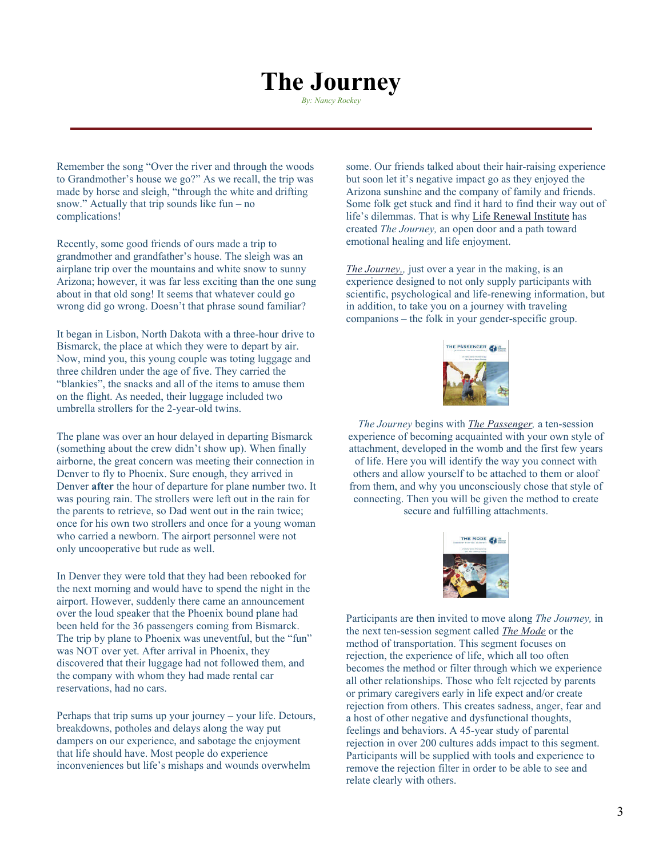# **The Journey**

*By: Nancy Rockey*

Remember the song "Over the river and through the woods to Grandmother's house we go?" As we recall, the trip was made by horse and sleigh, "through the white and drifting snow." Actually that trip sounds like fun – no complications!

Recently, some good friends of ours made a trip to grandmother and grandfather's house. The sleigh was an airplane trip over the mountains and white snow to sunny Arizona; however, it was far less exciting than the one sung about in that old song! It seems that whatever could go wrong did go wrong. Doesn't that phrase sound familiar?

It began in Lisbon, North Dakota with a three-hour drive to Bismarck, the place at which they were to depart by air. Now, mind you, this young couple was toting luggage and three children under the age of five. They carried the "blankies", the snacks and all of the items to amuse them on the flight. As needed, their luggage included two umbrella strollers for the 2-year-old twins.

The plane was over an hour delayed in departing Bismarck (something about the crew didn't show up). When finally airborne, the great concern was meeting their connection in Denver to fly to Phoenix. Sure enough, they arrived in Denver **after** the hour of departure for plane number two. It was pouring rain. The strollers were left out in the rain for the parents to retrieve, so Dad went out in the rain twice; once for his own two strollers and once for a young woman who carried a newborn. The airport personnel were not only uncooperative but rude as well.

In Denver they were told that they had been rebooked for the next morning and would have to spend the night in the airport. However, suddenly there came an announcement over the loud speaker that the Phoenix bound plane had been held for the 36 passengers coming from Bismarck. The trip by plane to Phoenix was uneventful, but the "fun" was NOT over yet. After arrival in Phoenix, they discovered that their luggage had not followed them, and the company with whom they had made rental car reservations, had no cars.

Perhaps that trip sums up your journey – your life. Detours, breakdowns, potholes and delays along the way put dampers on our experience, and sabotage the enjoyment that life should have. Most people do experience inconveniences but life's mishaps and wounds overwhelm

some. Our friends talked about their hair-raising experience but soon let it's negative impact go as they enjoyed the Arizona sunshine and the company of family and friends. Some folk get stuck and find it hard to find their way out of life's dilemmas. That is why Life Renewal Institute has created *The Journey,* an open door and a path toward emotional healing and life enjoyment.

*The Journey,,* just over a year in the making, is an experience designed to not only supply participants with scientific, psychological and life-renewing information, but in addition, to take you on a journey with traveling companions – the folk in your gender-specific group.



*The Journey* begins with *The Passenger,* a ten-session experience of becoming acquainted with your own style of attachment, developed in the womb and the first few years of life. Here you will identify the way you connect with others and allow yourself to be attached to them or aloof from them, and why you unconsciously chose that style of connecting. Then you will be given the method to create secure and fulfilling attachments.



Participants are then invited to move along *The Journey,* in the next ten-session segment called *The Mode* or the method of transportation. This segment focuses on rejection, the experience of life, which all too often becomes the method or filter through which we experience all other relationships. Those who felt rejected by parents or primary caregivers early in life expect and/or create rejection from others. This creates sadness, anger, fear and a host of other negative and dysfunctional thoughts, feelings and behaviors. A 45-year study of parental rejection in over 200 cultures adds impact to this segment. Participants will be supplied with tools and experience to remove the rejection filter in order to be able to see and relate clearly with others.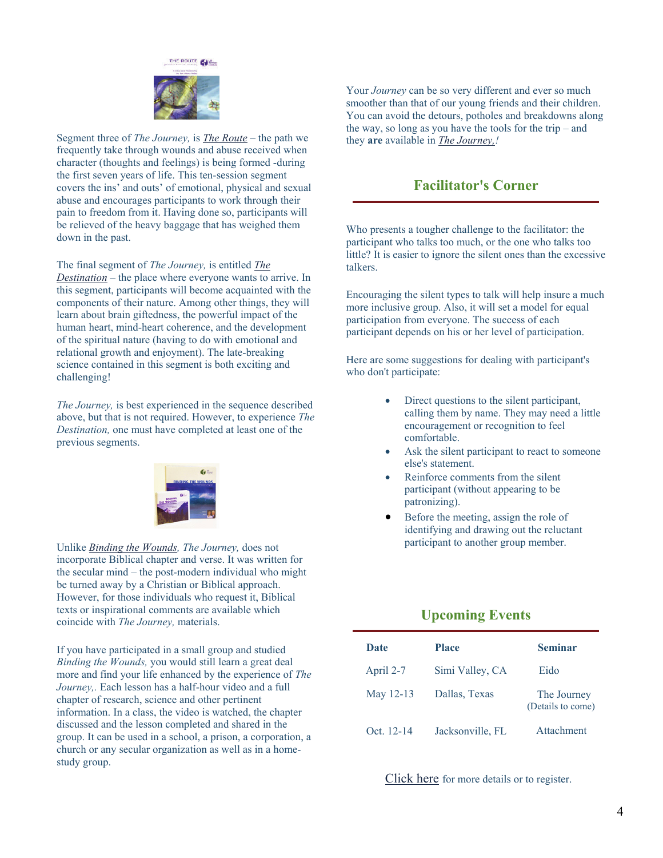

Segment three of *The Journey,* is *The Route –* the path we frequently take through wounds and abuse received when character (thoughts and feelings) is being formed -during the first seven years of life. This ten-session segment covers the ins' and outs' of emotional, physical and sexual abuse and encourages participants to work through their pain to freedom from it. Having done so, participants will be relieved of the heavy baggage that has weighed them down in the past.

The final segment of *The Journey,* is entitled *The Destination* – the place where everyone wants to arrive. In this segment, participants will become acquainted with the components of their nature. Among other things, they will learn about brain giftedness, the powerful impact of the human heart, mind-heart coherence, and the development of the spiritual nature (having to do with emotional and relational growth and enjoyment). The late-breaking science contained in this segment is both exciting and challenging!

*The Journey,* is best experienced in the sequence described above, but that is not required. However, to experience *The Destination,* one must have completed at least one of the previous segments.



Unlike *Binding the Wounds, The Journey,* does not incorporate Biblical chapter and verse. It was written for the secular mind – the post-modern individual who might be turned away by a Christian or Biblical approach. However, for those individuals who request it, Biblical texts or inspirational comments are available which coincide with *The Journey,* materials.

If you have participated in a small group and studied *Binding the Wounds,* you would still learn a great deal more and find your life enhanced by the experience of *The Journey,.* Each lesson has a half-hour video and a full chapter of research, science and other pertinent information. In a class, the video is watched, the chapter discussed and the lesson completed and shared in the group. It can be used in a school, a prison, a corporation, a church or any secular organization as well as in a homestudy group.

Your *Journey* can be so very different and ever so much smoother than that of our young friends and their children. You can avoid the detours, potholes and breakdowns along the way, so long as you have the tools for the trip – and they **are** available in *The Journey,!* 

# **Facilitator's Corner**

Who presents a tougher challenge to the facilitator: the participant who talks too much, or the one who talks too little? It is easier to ignore the silent ones than the excessive talkers.

Encouraging the silent types to talk will help insure a much more inclusive group. Also, it will set a model for equal participation from everyone. The success of each participant depends on his or her level of participation.

Here are some suggestions for dealing with participant's who don't participate:

- Direct questions to the silent participant, calling them by name. They may need a little encouragement or recognition to feel comfortable.
- Ask the silent participant to react to someone else's statement.
- Reinforce comments from the silent participant (without appearing to be patronizing).
- Before the meeting, assign the role of identifying and drawing out the reluctant participant to another group member.

# **Upcoming Events**

| Date       | <b>Place</b>     | <b>Seminar</b>                   |
|------------|------------------|----------------------------------|
| April 2-7  | Simi Valley, CA  | Eido                             |
| May 12-13  | Dallas, Texas    | The Journey<br>(Details to come) |
| Oct. 12-14 | Jacksonville, FL | Attachment                       |

Click here for more details or to register.